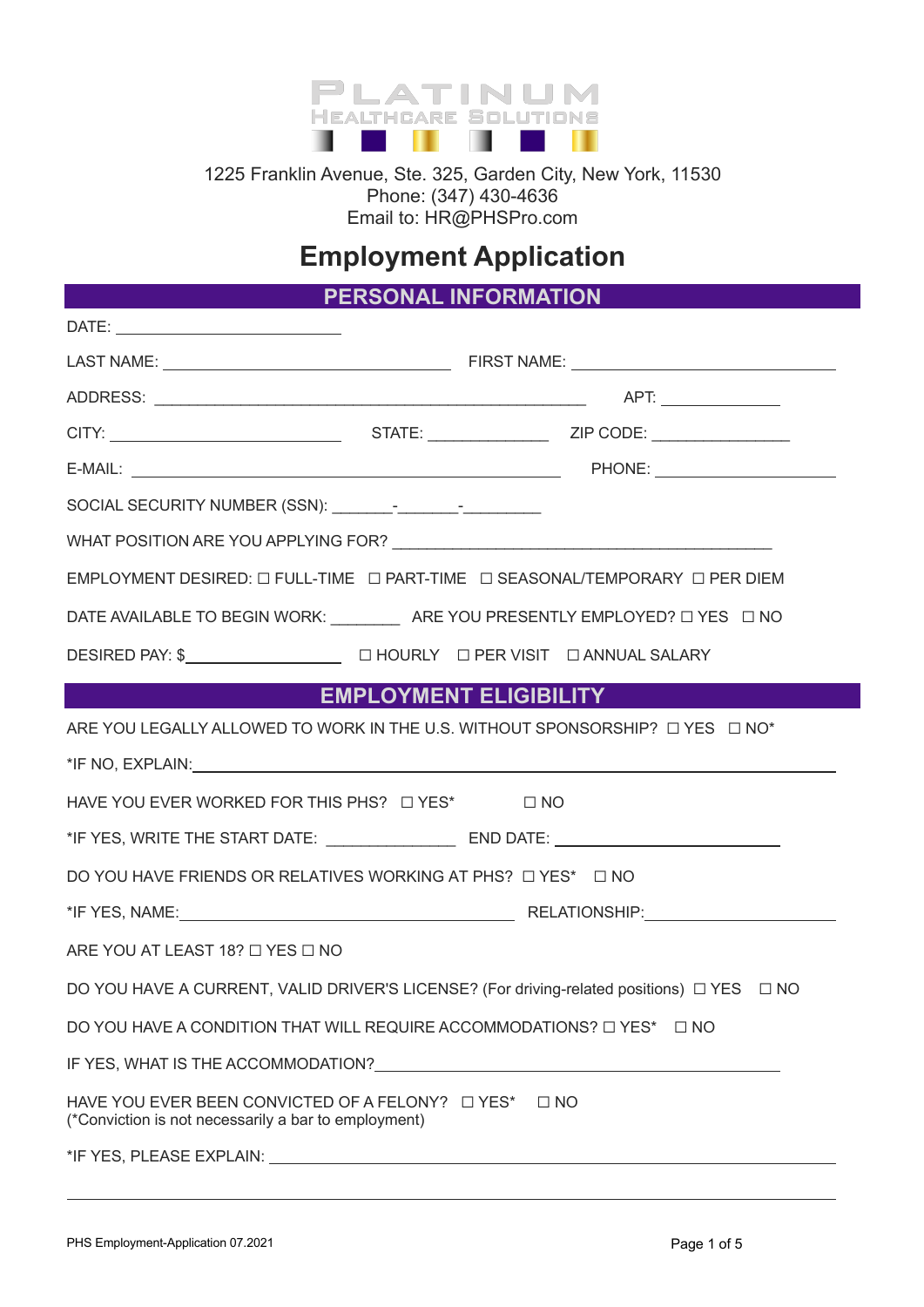

1225 Franklin Avenue, Ste. 325, Garden City, New York, 11530 Phone: (347) 430-4636 Email to: HR@PHSPro.com

# **Employment Application**

**PERSONAL INFORMATION**

| EMPLOYMENT DESIRED: $\square$ FULL-TIME $\square$ PART-TIME $\square$ SEASONAL/TEMPORARY $\square$ PER DIEM                                                                                                                    |  |  |  |
|--------------------------------------------------------------------------------------------------------------------------------------------------------------------------------------------------------------------------------|--|--|--|
| DATE AVAILABLE TO BEGIN WORK: ____________ ARE YOU PRESENTLY EMPLOYED? □ YES □ NO                                                                                                                                              |  |  |  |
|                                                                                                                                                                                                                                |  |  |  |
| EMPLOYMENT ELIGIBILITY                                                                                                                                                                                                         |  |  |  |
| ARE YOU LEGALLY ALLOWED TO WORK IN THE U.S. WITHOUT SPONSORSHIP? $\Box$ YES $\Box$ NO*                                                                                                                                         |  |  |  |
| *IF NO, EXPLAIN: And the state of the state of the state of the state of the state of the state of the state of the state of the state of the state of the state of the state of the state of the state of the state of the st |  |  |  |
| HAVE YOU EVER WORKED FOR THIS PHS? $\Box$ YES* $\Box$ NO                                                                                                                                                                       |  |  |  |
|                                                                                                                                                                                                                                |  |  |  |
| DO YOU HAVE FRIENDS OR RELATIVES WORKING AT PHS? □ YES* □ NO                                                                                                                                                                   |  |  |  |
|                                                                                                                                                                                                                                |  |  |  |
| ARE YOU AT LEAST 18? $\Box$ YES $\Box$ NO                                                                                                                                                                                      |  |  |  |
| DO YOU HAVE A CURRENT, VALID DRIVER'S LICENSE? (For driving-related positions) □ YES □ NO                                                                                                                                      |  |  |  |
| DO YOU HAVE A CONDITION THAT WILL REQUIRE ACCOMMODATIONS? □ YES* □ NO                                                                                                                                                          |  |  |  |
|                                                                                                                                                                                                                                |  |  |  |
| (*Conviction is not necessarily a bar to employment)                                                                                                                                                                           |  |  |  |
|                                                                                                                                                                                                                                |  |  |  |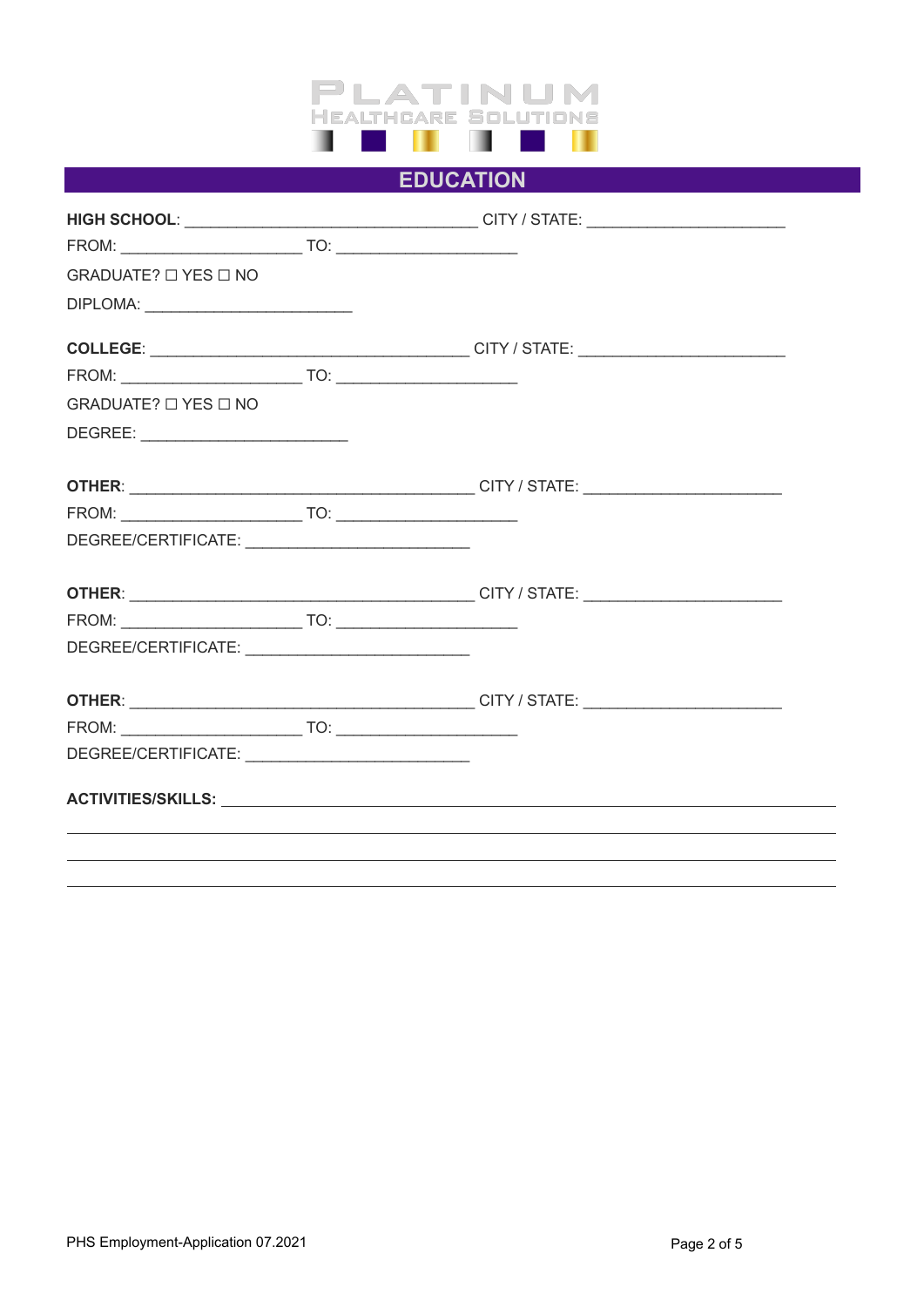

## **EDUCATION**

|                                | HIGH SCHOOL: __________________________________CITY / STATE: ___________________                                                                                                                                              |
|--------------------------------|-------------------------------------------------------------------------------------------------------------------------------------------------------------------------------------------------------------------------------|
|                                |                                                                                                                                                                                                                               |
| GRADUATE? $\Box$ YES $\Box$ NO |                                                                                                                                                                                                                               |
|                                |                                                                                                                                                                                                                               |
|                                |                                                                                                                                                                                                                               |
|                                |                                                                                                                                                                                                                               |
| GRADUATE? $\Box$ YES $\Box$ NO |                                                                                                                                                                                                                               |
|                                |                                                                                                                                                                                                                               |
|                                |                                                                                                                                                                                                                               |
|                                |                                                                                                                                                                                                                               |
|                                |                                                                                                                                                                                                                               |
|                                |                                                                                                                                                                                                                               |
|                                |                                                                                                                                                                                                                               |
|                                |                                                                                                                                                                                                                               |
|                                |                                                                                                                                                                                                                               |
|                                |                                                                                                                                                                                                                               |
|                                |                                                                                                                                                                                                                               |
|                                | ACTIVITIES/SKILLS: University of the contract of the contract of the contract of the contract of the contract of the contract of the contract of the contract of the contract of the contract of the contract of the contract |
|                                |                                                                                                                                                                                                                               |
|                                |                                                                                                                                                                                                                               |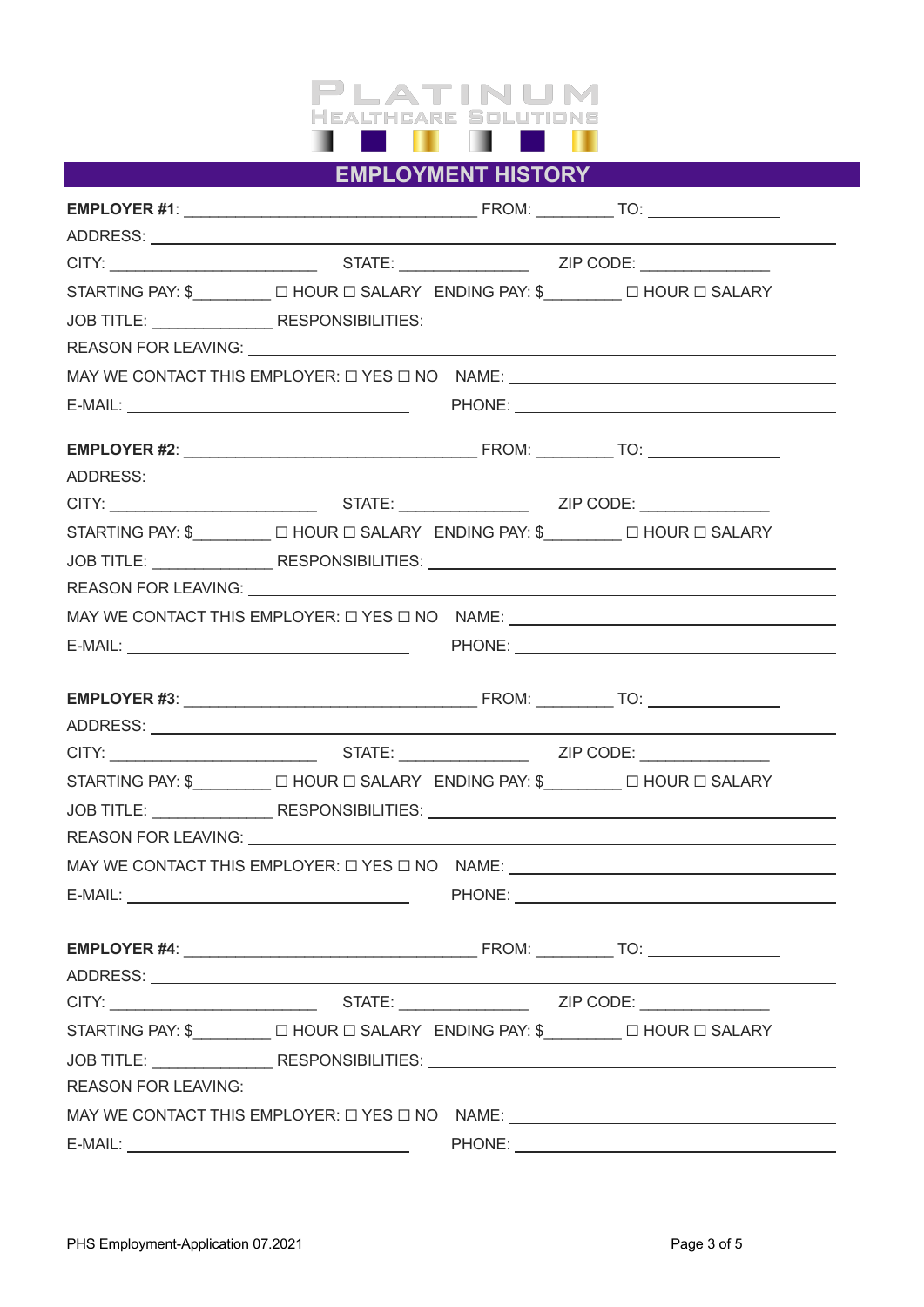

**EMPLOYMENT HISTORY**

|                                                                                                                                                                                                                                |  | STARTING PAY: \$_________ □ HOUR □ SALARY ENDING PAY: \$_______ □ HOUR □ SALARY                                                                                                                                                     |
|--------------------------------------------------------------------------------------------------------------------------------------------------------------------------------------------------------------------------------|--|-------------------------------------------------------------------------------------------------------------------------------------------------------------------------------------------------------------------------------------|
|                                                                                                                                                                                                                                |  |                                                                                                                                                                                                                                     |
|                                                                                                                                                                                                                                |  |                                                                                                                                                                                                                                     |
|                                                                                                                                                                                                                                |  |                                                                                                                                                                                                                                     |
|                                                                                                                                                                                                                                |  |                                                                                                                                                                                                                                     |
|                                                                                                                                                                                                                                |  |                                                                                                                                                                                                                                     |
|                                                                                                                                                                                                                                |  |                                                                                                                                                                                                                                     |
|                                                                                                                                                                                                                                |  |                                                                                                                                                                                                                                     |
|                                                                                                                                                                                                                                |  | STARTING PAY: \$________ □ HOUR □ SALARY ENDING PAY: \$_______ □ HOUR □ SALARY                                                                                                                                                      |
|                                                                                                                                                                                                                                |  |                                                                                                                                                                                                                                     |
|                                                                                                                                                                                                                                |  |                                                                                                                                                                                                                                     |
|                                                                                                                                                                                                                                |  | MAY WE CONTACT THIS EMPLOYER: $\Box$ YES $\Box$ NO NAME: $\_\_\_\_\_\_\_\_\_$                                                                                                                                                       |
|                                                                                                                                                                                                                                |  |                                                                                                                                                                                                                                     |
|                                                                                                                                                                                                                                |  |                                                                                                                                                                                                                                     |
|                                                                                                                                                                                                                                |  |                                                                                                                                                                                                                                     |
|                                                                                                                                                                                                                                |  |                                                                                                                                                                                                                                     |
|                                                                                                                                                                                                                                |  |                                                                                                                                                                                                                                     |
|                                                                                                                                                                                                                                |  | STARTING PAY: \$________ □ HOUR □ SALARY ENDING PAY: \$_______ □ HOUR □ SALARY                                                                                                                                                      |
|                                                                                                                                                                                                                                |  | JOB TITLE: ___________________RESPONSIBILITIES: _________________________________                                                                                                                                                   |
|                                                                                                                                                                                                                                |  |                                                                                                                                                                                                                                     |
|                                                                                                                                                                                                                                |  |                                                                                                                                                                                                                                     |
|                                                                                                                                                                                                                                |  |                                                                                                                                                                                                                                     |
|                                                                                                                                                                                                                                |  |                                                                                                                                                                                                                                     |
|                                                                                                                                                                                                                                |  |                                                                                                                                                                                                                                     |
|                                                                                                                                                                                                                                |  |                                                                                                                                                                                                                                     |
|                                                                                                                                                                                                                                |  |                                                                                                                                                                                                                                     |
|                                                                                                                                                                                                                                |  | STARTING PAY: \$ □ HOUR □ SALARY ENDING PAY: \$ □ HOUR □ SALARY                                                                                                                                                                     |
|                                                                                                                                                                                                                                |  | JOB TITLE: ___________________RESPONSIBILITIES: _________________________________                                                                                                                                                   |
|                                                                                                                                                                                                                                |  | REASON FOR LEAVING: North American Contract Contract Contract Contract Contract Contract Contract Contract Contract Contract Contract Contract Contract Contract Contract Contract Contract Contract Contract Contract Contrac      |
|                                                                                                                                                                                                                                |  |                                                                                                                                                                                                                                     |
| E-MAIL: The contract of the contract of the contract of the contract of the contract of the contract of the contract of the contract of the contract of the contract of the contract of the contract of the contract of the co |  | <b>PHONE:</b> The contract of the contract of the contract of the contract of the contract of the contract of the contract of the contract of the contract of the contract of the contract of the contract of the contract of the c |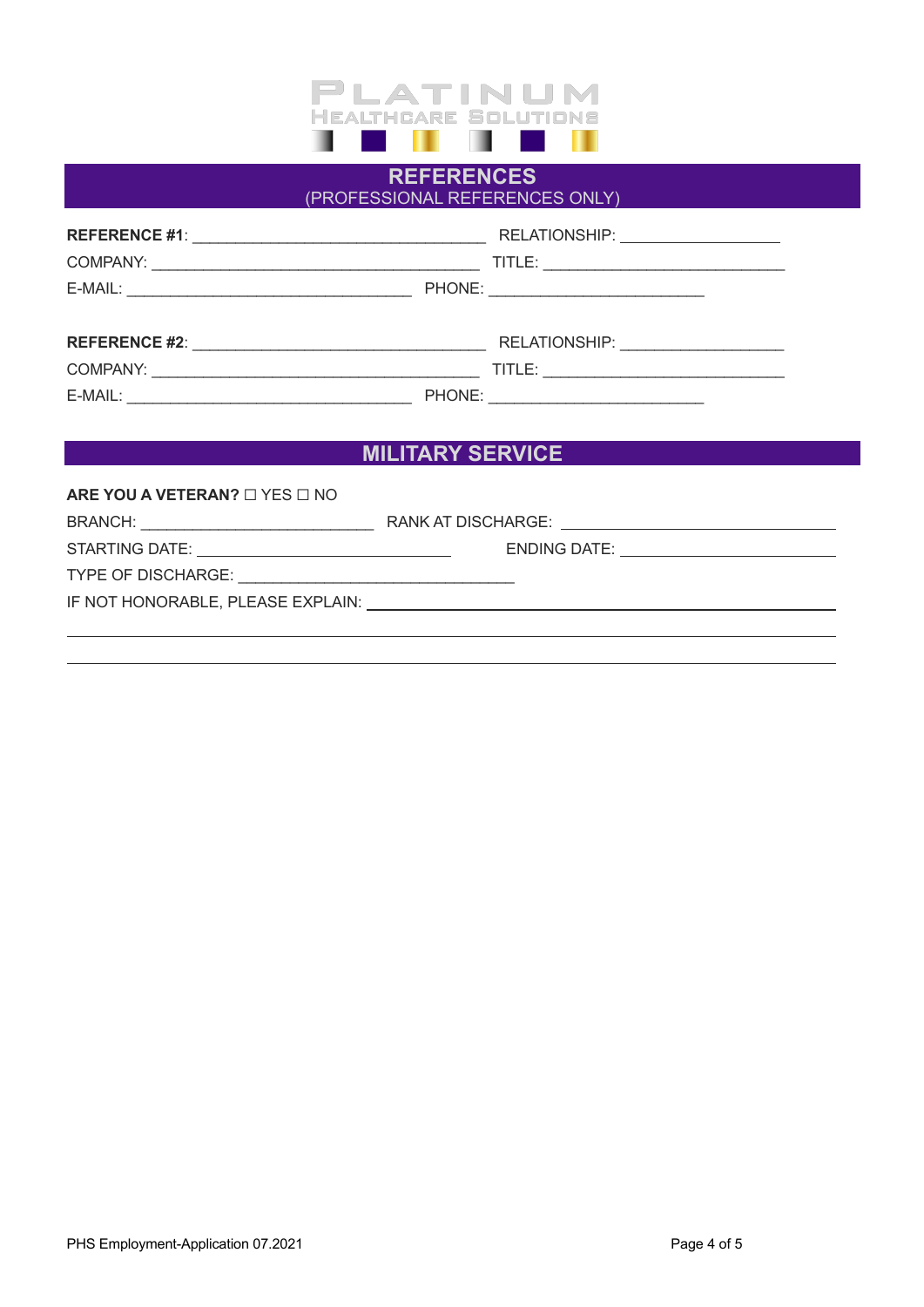

### **REFERENCES** (PROFESSIONAL REFERENCES ONLY)

|                                                                                                                                                                                                                                | RELATIONSHIP: ____________________      |
|--------------------------------------------------------------------------------------------------------------------------------------------------------------------------------------------------------------------------------|-----------------------------------------|
|                                                                                                                                                                                                                                |                                         |
|                                                                                                                                                                                                                                |                                         |
|                                                                                                                                                                                                                                |                                         |
|                                                                                                                                                                                                                                |                                         |
|                                                                                                                                                                                                                                |                                         |
| E-MAIL: E-MAIL: And a state of the state of the state of the state of the state of the state of the state of the state of the state of the state of the state of the state of the state of the state of the state of the state | PHONE: <u>_________________________</u> |
|                                                                                                                                                                                                                                |                                         |

## **MILITARY SERVICE**

#### **ARE YOU A VETERAN?** ☐ YES ☐ NO

| ENDING DATE: <u>_______________________</u>                                                                                                                                                                                    |
|--------------------------------------------------------------------------------------------------------------------------------------------------------------------------------------------------------------------------------|
|                                                                                                                                                                                                                                |
| IF NOT HONORABLE, PLEASE EXPLAIN: University of the contract of the contract of the contract of the contract of the contract of the contract of the contract of the contract of the contract of the contract of the contract o |
|                                                                                                                                                                                                                                |
|                                                                                                                                                                                                                                |